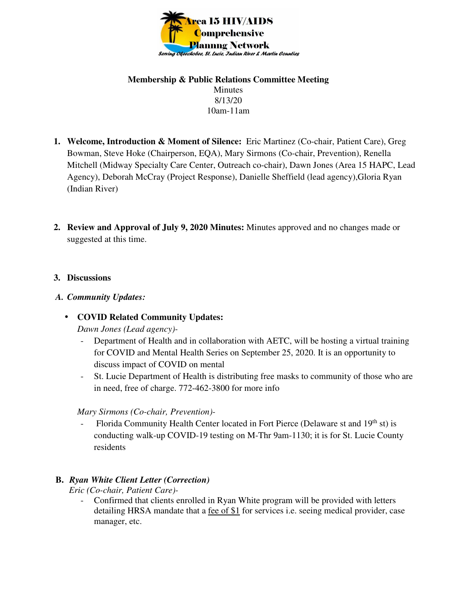

## **Membership & Public Relations Committee Meeting**  Minutes 8/13/20 10am-11am

- **1. Welcome, Introduction & Moment of Silence:** Eric Martinez (Co-chair, Patient Care), Greg Bowman, Steve Hoke (Chairperson, EQA), Mary Sirmons (Co-chair, Prevention), Renella Mitchell (Midway Specialty Care Center, Outreach co-chair), Dawn Jones (Area 15 HAPC, Lead Agency), Deborah McCray (Project Response), Danielle Sheffield (lead agency),Gloria Ryan (Indian River)
- **2. Review and Approval of July 9, 2020 Minutes:** Minutes approved and no changes made or suggested at this time.

## **3. Discussions**

# *A. Community Updates:*

• **COVID Related Community Updates:** 

*Dawn Jones (Lead agency)-* 

- Department of Health and in collaboration with AETC, will be hosting a virtual training for COVID and Mental Health Series on September 25, 2020. It is an opportunity to discuss impact of COVID on mental
- St. Lucie Department of Health is distributing free masks to community of those who are in need, free of charge. 772-462-3800 for more info

# *Mary Sirmons (Co-chair, Prevention)-*

- Florida Community Health Center located in Fort Pierce (Delaware st and  $19<sup>th</sup>$  st) is conducting walk-up COVID-19 testing on M-Thr 9am-1130; it is for St. Lucie County residents

# **B.** *Ryan White Client Letter (Correction)*

*Eric (Co-chair, Patient Care)-* 

Confirmed that clients enrolled in Ryan White program will be provided with letters detailing HRSA mandate that a <u>fee of \$1</u> for services i.e. seeing medical provider, case manager, etc.